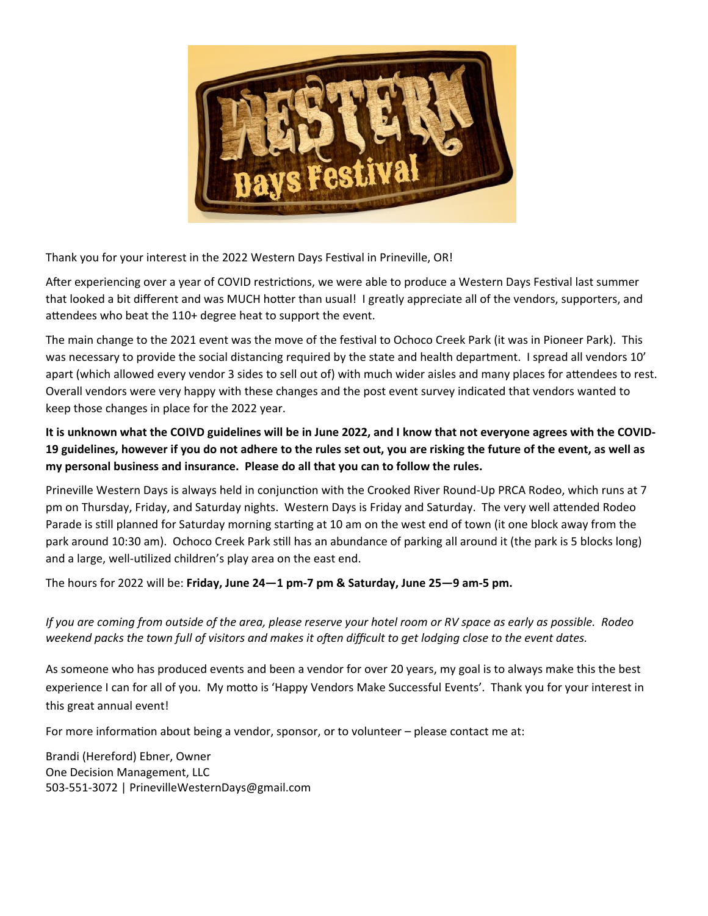

Thank you for your interest in the 2022 Western Days Festival in Prineville, OR!

After experiencing over a year of COVID restrictions, we were able to produce a Western Days Festival last summer that looked a bit different and was MUCH hotter than usual! I greatly appreciate all of the vendors, supporters, and attendees who beat the 110+ degree heat to support the event.

The main change to the 2021 event was the move of the festival to Ochoco Creek Park (it was in Pioneer Park). This was necessary to provide the social distancing required by the state and health department. I spread all vendors 10' apart (which allowed every vendor 3 sides to sell out of) with much wider aisles and many places for attendees to rest. Overall vendors were very happy with these changes and the post event survey indicated that vendors wanted to keep those changes in place for the 2022 year.

**It is unknown what the COIVD guidelines will be in June 2022, and I know that not everyone agrees with the COVID‐ 19 guidelines, however if you do not adhere to the rules set out, you are risking the future of the event, as well as my personal business and insurance. Please do all that you can to follow the rules.**

Prineville Western Days is always held in conjunction with the Crooked River Round-Up PRCA Rodeo, which runs at 7 pm on Thursday, Friday, and Saturday nights. Western Days is Friday and Saturday. The very well attended Rodeo Parade is still planned for Saturday morning starting at 10 am on the west end of town (it one block away from the park around 10:30 am). Ochoco Creek Park still has an abundance of parking all around it (the park is 5 blocks long) and a large, well-utilized children's play area on the east end.

The hours for 2022 will be: **Friday, June 24—1 pm‐7 pm & Saturday, June 25—9 am‐5 pm.** 

If you are coming from outside of the area, please reserve your hotel room or RV space as early as possible. Rodeo weekend packs the town full of visitors and makes it often difficult to get lodging close to the event dates.

As someone who has produced events and been a vendor for over 20 years, my goal is to always make this the best experience I can for all of you. My motto is 'Happy Vendors Make Successful Events'. Thank you for your interest in this great annual event!

For more information about being a vendor, sponsor, or to volunteer – please contact me at:

Brandi (Hereford) Ebner, Owner One Decision Management, LLC 503‐551‐3072 | PrinevilleWesternDays@gmail.com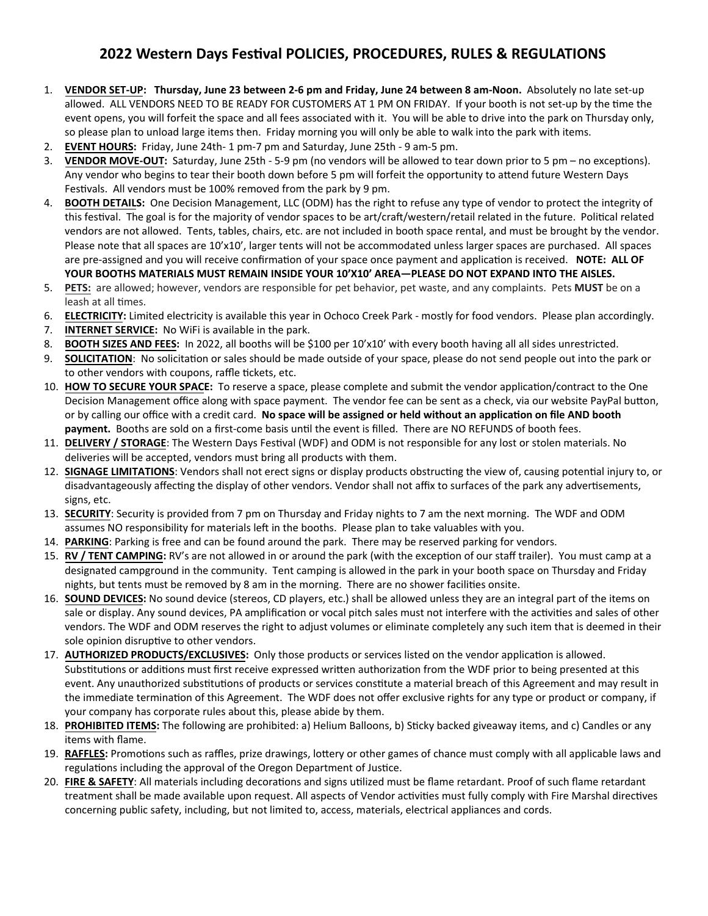## **2022 Western Days Festival POLICIES, PROCEDURES, RULES & REGULATIONS**

- 1. **VENDOR SET‐UP: Thursday, June 23 between 2‐6 pm and Friday, June 24 between 8 am‐Noon.** Absolutely no late set‐up allowed. ALL VENDORS NEED TO BE READY FOR CUSTOMERS AT 1 PM ON FRIDAY. If your booth is not set-up by the time the event opens, you will forfeit the space and all fees associated with it. You will be able to drive into the park on Thursday only, so please plan to unload large items then. Friday morning you will only be able to walk into the park with items.
- 2. **EVENT HOURS:** Friday, June 24th‐ 1 pm‐7 pm and Saturday, June 25th ‐ 9 am‐5 pm.
- 3. **VENDOR MOVE-OUT:** Saturday, June 25th 5-9 pm (no vendors will be allowed to tear down prior to 5 pm no exceptions). Any vendor who begins to tear their booth down before 5 pm will forfeit the opportunity to attend future Western Days Festivals. All vendors must be 100% removed from the park by 9 pm.
- 4. **BOOTH DETAILS:** One Decision Management, LLC (ODM) has the right to refuse any type of vendor to protect the integrity of this festival. The goal is for the majority of vendor spaces to be art/craft/western/retail related in the future. Political related vendors are not allowed. Tents, tables, chairs, etc. are not included in booth space rental, and must be brought by the vendor. Please note that all spaces are 10'x10', larger tents will not be accommodated unless larger spaces are purchased. All spaces are pre-assigned and you will receive confirmation of your space once payment and application is received. **NOTE: ALL OF YOUR BOOTHS MATERIALS MUST REMAIN INSIDE YOUR 10'X10' AREA—PLEASE DO NOT EXPAND INTO THE AISLES.**
- 5. **PETS:** are allowed; however, vendors are responsible for pet behavior, pet waste, and any complaints. Pets **MUST** be on a leash at all times.
- 6. **ELECTRICITY:** Limited electricity is available this year in Ochoco Creek Park mostly for food vendors. Please plan accordingly.
- 7. **INTERNET SERVICE:** No WiFi is available in the park.
- 8. **BOOTH SIZES AND FEES:** In 2022, all booths will be \$100 per 10'x10' with every booth having all all sides unrestricted.
- 9. **SOLICITATION**: No solicitation or sales should be made outside of your space, please do not send people out into the park or to other vendors with coupons, raffle tickets, etc.
- 10. HOW TO SECURE YOUR SPACE: To reserve a space, please complete and submit the vendor application/contract to the One Decision Management office along with space payment. The vendor fee can be sent as a check, via our website PayPal button, or by calling our office with a credit card. **No space will be assigned or held without an applicaƟon on file AND booth** payment. Booths are sold on a first-come basis until the event is filled. There are NO REFUNDS of booth fees.
- 11. DELIVERY / STORAGE: The Western Days Festival (WDF) and ODM is not responsible for any lost or stolen materials. No deliveries will be accepted, vendors must bring all products with them.
- 12. SIGNAGE LIMITATIONS: Vendors shall not erect signs or display products obstructing the view of, causing potential injury to, or disadvantageously affecting the display of other vendors. Vendor shall not affix to surfaces of the park any advertisements, signs, etc.
- 13. **SECURITY**: Security is provided from 7 pm on Thursday and Friday nights to 7 am the next morning. The WDF and ODM assumes NO responsibility for materials left in the booths. Please plan to take valuables with you.
- 14. **PARKING**: Parking is free and can be found around the park. There may be reserved parking for vendors.
- 15. **RV / TENT CAMPING:** RV's are not allowed in or around the park (with the exception of our staff trailer). You must camp at a designated campground in the community. Tent camping is allowed in the park in your booth space on Thursday and Friday nights, but tents must be removed by 8 am in the morning. There are no shower facilities onsite.
- 16. **SOUND DEVICES:** No sound device (stereos, CD players, etc.) shall be allowed unless they are an integral part of the items on sale or display. Any sound devices, PA amplification or vocal pitch sales must not interfere with the activities and sales of other vendors. The WDF and ODM reserves the right to adjust volumes or eliminate completely any such item that is deemed in their sole opinion disruptive to other vendors.
- 17. AUTHORIZED PRODUCTS/EXCLUSIVES: Only those products or services listed on the vendor application is allowed. Substitutions or additions must first receive expressed written authorization from the WDF prior to being presented at this event. Any unauthorized substitutions of products or services constitute a material breach of this Agreement and may result in the immediate termination of this Agreement. The WDF does not offer exclusive rights for any type or product or company, if your company has corporate rules about this, please abide by them.
- 18. PROHIBITED ITEMS: The following are prohibited: a) Helium Balloons, b) Sticky backed giveaway items, and c) Candles or any items with flame.
- 19. **RAFFLES:** Promotions such as raffles, prize drawings, lottery or other games of chance must comply with all applicable laws and regulations including the approval of the Oregon Department of Justice.
- 20. FIRE & SAFETY: All materials including decorations and signs utilized must be flame retardant. Proof of such flame retardant treatment shall be made available upon request. All aspects of Vendor activities must fully comply with Fire Marshal directives concerning public safety, including, but not limited to, access, materials, electrical appliances and cords.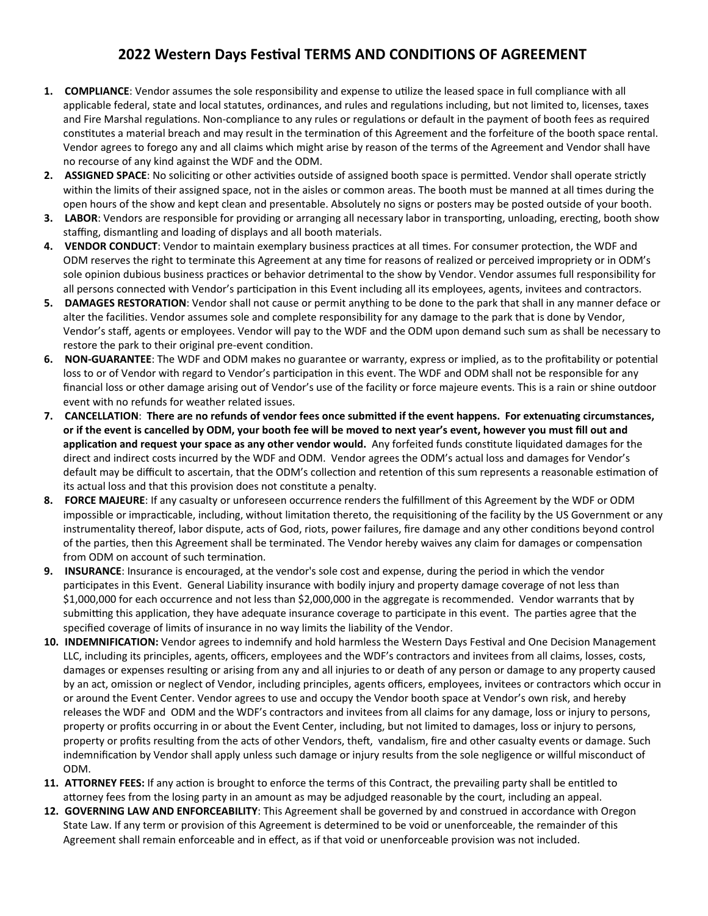## **2022 Western Days FesƟval TERMS AND CONDITIONS OF AGREEMENT**

- 1. **COMPLIANCE**: Vendor assumes the sole responsibility and expense to utilize the leased space in full compliance with all applicable federal, state and local statutes, ordinances, and rules and regulations including, but not limited to, licenses, taxes and Fire Marshal regulations. Non-compliance to any rules or regulations or default in the payment of booth fees as required constitutes a material breach and may result in the termination of this Agreement and the forfeiture of the booth space rental. Vendor agrees to forego any and all claims which might arise by reason of the terms of the Agreement and Vendor shall have no recourse of any kind against the WDF and the ODM.
- **2.** ASSIGNED SPACE: No soliciting or other activities outside of assigned booth space is permitted. Vendor shall operate strictly within the limits of their assigned space, not in the aisles or common areas. The booth must be manned at all times during the open hours of the show and kept clean and presentable. Absolutely no signs or posters may be posted outside of your booth.
- **3.** LABOR: Vendors are responsible for providing or arranging all necessary labor in transporting, unloading, erecting, booth show staffing, dismantling and loading of displays and all booth materials.
- 4. VENDOR CONDUCT: Vendor to maintain exemplary business practices at all times. For consumer protection, the WDF and ODM reserves the right to terminate this Agreement at any time for reasons of realized or perceived impropriety or in ODM's sole opinion dubious business practices or behavior detrimental to the show by Vendor. Vendor assumes full responsibility for all persons connected with Vendor's participation in this Event including all its employees, agents, invitees and contractors.
- **5. DAMAGES RESTORATION**: Vendor shall not cause or permit anything to be done to the park that shall in any manner deface or alter the facilities. Vendor assumes sole and complete responsibility for any damage to the park that is done by Vendor, Vendor's staff, agents or employees. Vendor will pay to the WDF and the ODM upon demand such sum as shall be necessary to restore the park to their original pre-event condition.
- **6.** NON-GUARANTEE: The WDF and ODM makes no guarantee or warranty, express or implied, as to the profitability or potential loss to or of Vendor with regard to Vendor's participation in this event. The WDF and ODM shall not be responsible for any financial loss or other damage arising out of Vendor's use of the facility or force majeure events. This is a rain or shine outdoor event with no refunds for weather related issues.
- **7. CANCELLATION**: **There are no refunds of vendor fees once submiƩed if the event happens. For extenuaƟng circumstances, or if the event is cancelled by ODM, your booth fee will be moved to next year's event, however you must fill out and applicaƟon and request your space as any other vendor would.** Any forfeited funds consƟtute liquidated damages for the direct and indirect costs incurred by the WDF and ODM. Vendor agrees the ODM's actual loss and damages for Vendor's default may be difficult to ascertain, that the ODM's collection and retention of this sum represents a reasonable estimation of its actual loss and that this provision does not constitute a penalty.
- **8. FORCE MAJEURE**: If any casualty or unforeseen occurrence renders the fulfillment of this Agreement by the WDF or ODM impossible or impracticable, including, without limitation thereto, the requisitioning of the facility by the US Government or any instrumentality thereof, labor dispute, acts of God, riots, power failures, fire damage and any other conditions beyond control of the parties, then this Agreement shall be terminated. The Vendor hereby waives any claim for damages or compensation from ODM on account of such termination.
- **9. INSURANCE**: Insurance is encouraged, at the vendor's sole cost and expense, during the period in which the vendor participates in this Event. General Liability insurance with bodily injury and property damage coverage of not less than \$1,000,000 for each occurrence and not less than \$2,000,000 in the aggregate is recommended. Vendor warrants that by submitting this application, they have adequate insurance coverage to participate in this event. The parties agree that the specified coverage of limits of insurance in no way limits the liability of the Vendor.
- 10. **INDEMNIFICATION:** Vendor agrees to indemnify and hold harmless the Western Days Festival and One Decision Management LLC, including its principles, agents, officers, employees and the WDF's contractors and invitees from all claims, losses, costs, damages or expenses resulting or arising from any and all injuries to or death of any person or damage to any property caused by an act, omission or neglect of Vendor, including principles, agents officers, employees, invitees or contractors which occur in or around the Event Center. Vendor agrees to use and occupy the Vendor booth space at Vendor's own risk, and hereby releases the WDF and ODM and the WDF's contractors and invitees from all claims for any damage, loss or injury to persons, property or profits occurring in or about the Event Center, including, but not limited to damages, loss or injury to persons, property or profits resulting from the acts of other Vendors, theft, vandalism, fire and other casualty events or damage. Such indemnification by Vendor shall apply unless such damage or injury results from the sole negligence or willful misconduct of ODM.
- **11. ATTORNEY FEES:** If any action is brought to enforce the terms of this Contract, the prevailing party shall be entitled to attorney fees from the losing party in an amount as may be adjudged reasonable by the court, including an appeal.
- **12. GOVERNING LAW AND ENFORCEABILITY**: This Agreement shall be governed by and construed in accordance with Oregon State Law. If any term or provision of this Agreement is determined to be void or unenforceable, the remainder of this Agreement shall remain enforceable and in effect, as if that void or unenforceable provision was not included.